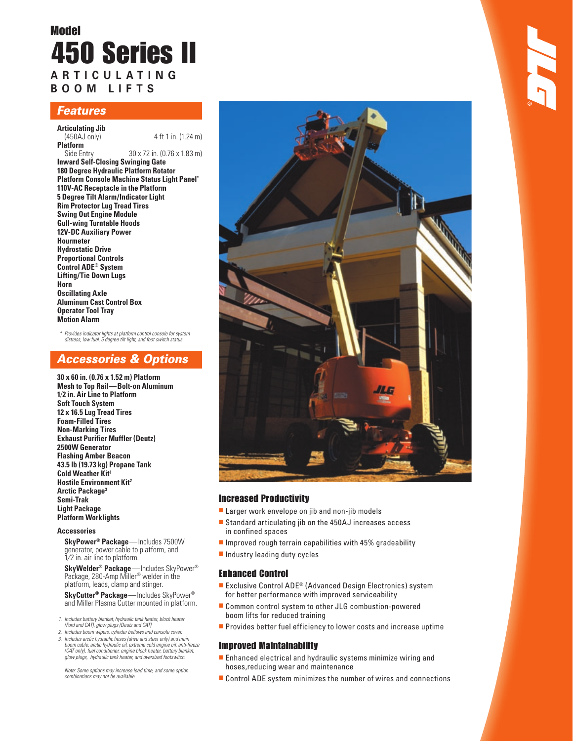# Model 450 Series II **A R T I C U L A T I N G B O O M L I F T S**

## Features

- **Articulating Jib**
- 4 ft 1 in. (1.24 m)

**Platform**<br>Side Entry 30 x 72 in. (0.76 x 1.83 m) **Inward Self-Closing Swinging Gate 180 Degree Hydraulic Platform Rotator Platform Console Machine Status Light Panel\* 110V-AC Receptacle in the Platform 5 Degree Tilt Alarm/Indicator Light Rim Protector Lug Tread Tires Swing Out Engine Module Gull-wing Turntable Hoods 12V-DC Auxiliary Power Hourmeter Hydrostatic Drive Proportional Controls Control ADE® System Lifting/Tie Down Lugs Horn Oscillating Axle Aluminum Cast Control Box Operator Tool Tray Motion Alarm**

 \* Provides indicator lights at platform control console for system distress, low fuel, 5 degree tilt light, and foot switch status

## Accessories & Options

**30 x 60 in. (0.76 x 1.52 m) Platform Mesh to Top Rail — Bolt-on Aluminum 1⁄2 in. Air Line to Platform Soft Touch System 12 x 16.5 Lug Tread Tires Foam-Filled Tires Non-Marking Tires Exhaust Purifier Muffler (Deutz) 2500W Generator Flashing Amber Beacon 43.5 lb (19.73 kg) Propane Tank Cold Weather Kit1 Hostile Environment Kit2 Arctic Package3 Semi-Trak Light Package Platform Worklights**

#### **Accessories**

**SkyPower® Package** — Includes 7500W generator, power cable to platform, and 1⁄2 in. air line to platform.

**SkyWelder® Package** — Includes SkyPower® Package, 280-Amp Miller<sup>®</sup> welder in the platform, leads, clamp and stinger.

**SkyCutter® Package** — Includes SkyPower® and Miller Plasma Cutter mounted in platform.

- 1. Includes battery blanket, hydraulic tank heater, block heater (Ford and CAT), glow plugs (Deutz and CAT)
- Includes boom wipers, cylinder bellows and console cover. 3. Includes arctic hydraulic hoses (drive and steer only) and main boom cable, arctic hydraulic oil, extreme cold engine oil, anti-freeze (CAT only), fuel conditioner, engine block heater, battery blanket, glow plugs, hydraulic tank heater, and oversized footswitch.

 Note: Some options may increase lead time, and some option combinations may not be available.



## Increased Productivity

- Larger work envelope on jib and non-jib models
- Standard articulating jib on the 450AJ increases access in confined spaces
- $\blacksquare$  Improved rough terrain capabilities with 45% gradeability
- Industry leading duty cycles

### Enhanced Control

- Exclusive Control ADE<sup>®</sup> (Advanced Design Electronics) system for better performance with improved serviceability
- Common control system to other JLG combustion-powered boom lifts for reduced training
- Provides better fuel efficiency to lower costs and increase uptime

### Improved Maintainability

- Enhanced electrical and hydraulic systems minimize wiring and hoses,reducing wear and maintenance
- Control ADE system minimizes the number of wires and connections